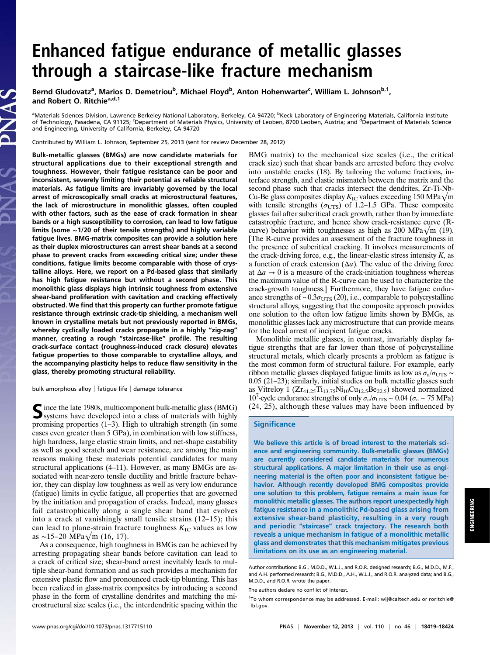# Enhanced fatigue endurance of metallic glasses through a staircase-like fracture mechanism

Bernd Gludovatz<sup>a</sup>, Marios D. Demetriou<sup>b</sup>, Michael Floyd<sup>b</sup>, Anton Hohenwarter<sup>c</sup>, William L. Johnson<sup>b, 1</sup>, and Robert O. Ritchie<sup>a,d,1</sup>

<sup>a</sup>Materials Sciences Division, Lawrence Berkeley National Laboratory, Berkeley, CA 94720; <sup>b</sup>Keck Laboratory of Engineering Materials, California Institute of Technology, Pasadena, CA 91125; <sup>c</sup>Department of Materials Physics, University of Leoben, 8700 Leoben, Austria; and <sup>d</sup>Department of Materials Science and Engineering, University of California, Berkeley, CA 94720

Contributed by William L. Johnson, September 25, 2013 (sent for review December 28, 2012)

Bulk-metallic glasses (BMGs) are now candidate materials for structural applications due to their exceptional strength and toughness. However, their fatigue resistance can be poor and inconsistent, severely limiting their potential as reliable structural materials. As fatigue limits are invariably governed by the local arrest of microscopically small cracks at microstructural features, the lack of microstructure in monolithic glasses, often coupled with other factors, such as the ease of crack formation in shear bands or a high susceptibility to corrosion, can lead to low fatigue limits (some ∼1/20 of their tensile strengths) and highly variable fatigue lives. BMG-matrix composites can provide a solution here as their duplex microstructures can arrest shear bands at a second phase to prevent cracks from exceeding critical size; under these conditions, fatigue limits become comparable with those of crystalline alloys. Here, we report on a Pd-based glass that similarly has high fatigue resistance but without a second phase. This monolithic glass displays high intrinsic toughness from extensive shear-band proliferation with cavitation and cracking effectively obstructed. We find that this property can further promote fatigue resistance through extrinsic crack-tip shielding, a mechanism well known in crystalline metals but not previously reported in BMGs, whereby cyclically loaded cracks propagate in a highly "zig-zag" manner, creating a rough "staircase-like" profile. The resulting crack-surface contact (roughness-induced crack closure) elevates fatigue properties to those comparable to crystalline alloys, and the accompanying plasticity helps to reduce flaw sensitivity in the glass, thereby promoting structural reliability.

bulk amorphous alloy | fatigue life | damage tolerance

Since the late 1980s, multicomponent bulk-metallic glass (BMG) systems have developed into a class of materials with highly promising properties (1–3). High to ultrahigh strength (in some cases even greater than 5 GPa), in combination with low stiffness, high hardness, large elastic strain limits, and net-shape castability as well as good scratch and wear resistance, are among the main reasons making these materials potential candidates for many structural applications (4–11). However, as many BMGs are associated with near-zero tensile ductility and brittle fracture behavior, they can display low toughness as well as very low endurance (fatigue) limits in cyclic fatigue, all properties that are governed by the initiation and propagation of cracks. Indeed, many glasses fail catastrophically along a single shear band that evolves into a crack at vanishingly small tensile strains (12–15); this can lead to plane-strain fracture toughness  $K_{\text{IC}}$  values as low as ∼15–20 MPa√m (16, 17).

As a consequence, high toughness in BMGs can be achieved by arresting propagating shear bands before cavitation can lead to a crack of critical size; shear-band arrest inevitably leads to multiple shear-band formation and as such provides a mechanism for extensive plastic flow and pronounced crack-tip blunting. This has been realized in glass-matrix composites by introducing a second phase in the form of crystalline dendrites and matching the microstructural size scales (i.e., the interdendritic spacing within the BMG matrix) to the mechanical size scales (i.e., the critical crack size) such that shear bands are arrested before they evolve into unstable cracks (18). By tailoring the volume fractions, interface strength, and elastic mismatch between the matrix and the second phase such that cracks intersect the dendrites, Zr-Ti-Nb-Cu-Be glass composites display  $K_{\text{IC}}$  values exceeding 150 MPa $\sqrt{\text{m}}$ with tensile strengths ( $\sigma_{UTS}$ ) of 1.2–1.5 GPa. These composite glasses fail after subcritical crack growth, rather than by immediate catastrophic fracture, and hence show crack-resistance curve (Rcurve) behavior with toughnesses as high as 200 MPa $\sqrt{m}$  (19). [The R-curve provides an assessment of the fracture toughness in the presence of subcritical cracking. It involves measurements of the crack-driving force, e.g., the linear-elastic stress intensity  $K$ , as a function of crack extension  $(\Delta a)$ . The value of the driving force at  $\Delta a \rightarrow 0$  is a measure of the crack-initiation toughness whereas the maximum value of the R-curve can be used to characterize the crack-growth toughness.] Furthermore, they have fatigue endurance strengths of  $\sim 0.3 \sigma_{\text{UTS}}$  (20), i.e., comparable to polycrystalline structural alloys, suggesting that the composite approach provides one solution to the often low fatigue limits shown by BMGs, as monolithic glasses lack any microstructure that can provide means for the local arrest of incipient fatigue cracks.

Monolithic metallic glasses, in contrast, invariably display fatigue strengths that are far lower than those of polycrystalline structural metals, which clearly presents a problem as fatigue is the most common form of structural failure. For example, early ribbon metallic glasses displayed fatigue limits as low as  $\sigma_{a}/\sigma_{UTS}$  ~ 0.05 (21–23); similarly, initial studies on bulk metallic glasses such as Vitreloy 1 ( $Zr_{41.25}Ti_{13.75}Ni_{10}Cu_{12.5}Be_{22.5}$ ) showed normalized 10<sup>7</sup>-cycle endurance strengths of only  $\sigma_a/\sigma_{\text{UTS}} \sim 0.04$  ( $\sigma_a \sim 75$  MPa) (24, 25), although these values may have been influenced by

## **Significance**

We believe this article is of broad interest to the materials science and engineering community. Bulk-metallic glasses (BMGs) are currently considered candidate materials for numerous structural applications. A major limitation in their use as engineering material is the often poor and inconsistent fatigue behavior. Although recently developed BMG composites provide one solution to this problem, fatigue remains a main issue for monolithic metallic glasses. The authors report unexpectedly high fatigue resistance in a monolithic Pd-based glass arising from extensive shear-band plasticity, resulting in a very rough and periodic "staircase" crack trajectory. The research both reveals a unique mechanism in fatigue of a monolithic metallic glass and demonstrates that this mechanism mitigates previous limitations on its use as an engineering material.

Author contributions: B.G., M.D.D., W.L.J., and R.O.R. designed research; B.G., M.D.D., M.F., and A.H. performed research; B.G., M.D.D., A.H., W.L.J., and R.O.R. analyzed data; and B.G., M.D.D., and R.O.R. wrote the paper.

The authors declare no conflict of interest.

<sup>&</sup>lt;sup>1</sup>To whom correspondence may be addressed. E-mail: [wlj@caltech.edu](mailto:wlj@caltech.edu) or [roritchie@](mailto:roritchie@lbl.gov) [lbl.gov](mailto:roritchie@lbl.gov).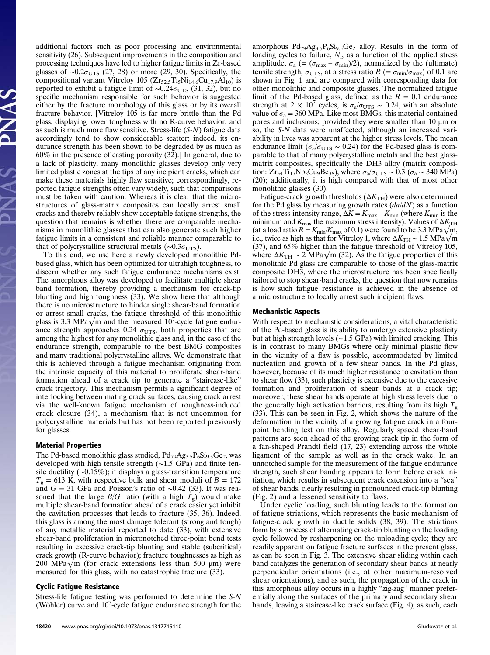additional factors such as poor processing and environmental sensitivity (26). Subsequent improvements in the composition and processing techniques have led to higher fatigue limits in Zr-based glasses of ~0.2 $\sigma_{\text{UTS}}$  (27, 28) or more (29, 30). Specifically, the compositional variant Vitreloy 105 ( $Zr_{52.5}Ti_5Ni_{14.6}Cu_{17.9}Al_{10}$ ) is reported to exhibit a fatigue limit of ~0.24 $\sigma$ <sub>UTS</sub> (31, 32), but no specific mechanism responsible for such behavior is suggested either by the fracture morphology of this glass or by its overall fracture behavior. [Vitreloy 105 is far more brittle than the Pd glass, displaying lower toughness with no R-curve behavior, and as such is much more flaw sensitive. Stress-life (S-N) fatigue data accordingly tend to show considerable scatter; indeed, its endurance strength has been shown to be degraded by as much as 60% in the presence of casting porosity (32).] In general, due to a lack of plasticity, many monolithic glasses develop only very limited plastic zones at the tips of any incipient cracks, which can make these materials highly flaw sensitive; correspondingly, reported fatigue strengths often vary widely, such that comparisons must be taken with caution. Whereas it is clear that the microstructures of glass-matrix composites can locally arrest small cracks and thereby reliably show acceptable fatigue strengths, the question that remains is whether there are comparable mechanisms in monolithic glasses that can also generate such higher fatigue limits in a consistent and reliable manner comparable to that of polycrystalline structural metals ( $\sim 0.3 \sigma_{UTS}$ ).

To this end, we use here a newly developed monolithic Pdbased glass, which has been optimized for ultrahigh toughness, to discern whether any such fatigue endurance mechanisms exist. The amorphous alloy was developed to facilitate multiple shear band formation, thereby providing a mechanism for crack-tip blunting and high toughness (33). We show here that although there is no microstructure to hinder single shear-band formation or arrest small cracks, the fatigue threshold of this monolithic glass is 3.3 MPa $\sqrt{m}$  and the measured 10<sup>7</sup>-cycle fatigue endurance strength approaches 0.24  $\sigma_{UTS}$ , both properties that are among the highest for any monolithic glass and, in the case of the endurance strength, comparable to the best BMG composites and many traditional polycrystalline alloys. We demonstrate that this is achieved through a fatigue mechanism originating from the intrinsic capacity of this material to proliferate shear-band formation ahead of a crack tip to generate a "staircase-like" crack trajectory. This mechanism permits a significant degree of interlocking between mating crack surfaces, causing crack arrest via the well-known fatigue mechanism of roughness-induced crack closure (34), a mechanism that is not uncommon for polycrystalline materials but has not been reported previously for glasses.

# Material Properties

The Pd-based monolithic glass studied,  $Pd_{79}Ag_{3.5}P_6Si_{9.5}Ge_2$ , was developed with high tensile strength (∼1.5 GPa) and finite tensile ductility (∼0.15%); it displays a glass-transition temperature  $T<sub>g</sub> = 613$  K, with respective bulk and shear moduli of  $B = 172$ and  $G = 31$  GPa and Poisson's ratio of ∼0.42 (33). It was reasoned that the large  $B/G$  ratio (with a high  $T_g$ ) would make multiple shear-band formation ahead of a crack easier yet inhibit the cavitation processes that leads to fracture (35, 36). Indeed, this glass is among the most damage tolerant (strong and tough) of any metallic material reported to date (33), with extensive shear-band proliferation in micronotched three-point bend tests resulting in excessive crack-tip blunting and stable (subcritical) crack growth (R-curve behavior); fracture toughnesses as high as 200 MPa $\sqrt{m}$  (for crack extensions less than 500 µm) were measured for this glass, with no catastrophic fracture (33).

#### Cyclic Fatigue Resistance

Stress-life fatigue testing was performed to determine the S-N (Wöhler) curve and  $10<sup>7</sup>$ -cycle fatigue endurance strength for the

amorphous  $Pd_{79}Ag_{3.5}P_6Si_{9.5}Ge_2$  alloy. Results in the form of loading cycles to failure,  $N_f$ , as a function of the applied stress amplitude,  $\sigma_{\rm a}$  (= ( $\sigma_{\rm max}$  –  $\sigma_{\rm min}$ )/2), normalized by the (ultimate) tensile strength,  $\sigma_{UTS}$ , at a stress ratio  $R$  (=  $\sigma_{min}/\sigma_{max}$ ) of 0.1 are shown in Fig. 1 and are compared with corresponding data for other monolithic and composite glasses. The normalized fatigue limit of the Pd-based glass, defined as the  $R = 0.1$  endurance strength at 2 ×  $10^7$  cycles, is  $\sigma_a/\sigma_{UTS} \sim 0.24$ , with an absolute value of  $\sigma_a = 360$  MPa. Like most BMGs, this material contained pores and inclusions; provided they were smaller than 10 μm or so, the S-N data were unaffected, although an increased variability in lives was apparent at the higher stress levels. The mean endurance limit ( $\sigma_{\rm a}/\sigma_{\rm UTS} \sim 0.24$ ) for the Pd-based glass is comparable to that of many polycrystalline metals and the best glassmatrix composites, specifically the DH3 alloy (matrix composition: Zr<sub>34</sub>Ti<sub>17</sub>Nb<sub>2</sub>Cu<sub>9</sub>Be<sub>38</sub>), where  $\sigma_{a}/\sigma_{UTS} \sim 0.3$  ( $\sigma_{a} \sim 340$  MPa) (20); additionally, it is high compared with that of most other monolithic glasses (30).

Fatigue-crack growth thresholds  $(\Delta K_{TH})$  were also determined for the Pd glass by measuring growth rates  $(da/dN)$  as a function of the stress-intensity range,  $\Delta K = K_{\text{max}} - K_{\text{min}}$  (where  $K_{\text{min}}$  is the minimum and  $K_{\text{max}}$  the maximum stress intensity). Values of  $\Delta K_{\text{TH}}$ (at a load ratio  $R = K_{\text{min}}/K_{\text{max}}$  of 0.1) were found to be 3.3 MPa $\sqrt{m}$ , i.e., twice as high as that for Vitreloy 1, where  $\Delta K_{\text{TH}} \sim 1.5 \text{ MPa} \sqrt{\text{m}}$ (37), and 65% higher than the fatigue threshold of Vitreloy 105, where  $\Delta K_{\text{TH}} \sim 2 \text{ MPa} \sqrt{\text{m}}$  (32). As the fatigue properties of this monolithic Pd glass are comparable to those of the glass-matrix composite DH3, where the microstructure has been specifically tailored to stop shear-band cracks, the question that now remains is how such fatigue resistance is achieved in the absence of a microstructure to locally arrest such incipient flaws.

#### Mechanistic Aspects

With respect to mechanistic considerations, a vital characteristic of the Pd-based glass is its ability to undergo extensive plasticity but at high strength levels (∼1.5 GPa) with limited cracking. This is in contrast to many BMGs where only minimal plastic flow in the vicinity of a flaw is possible, accommodated by limited nucleation and growth of a few shear bands. In the Pd glass, however, because of its much higher resistance to cavitation than to shear flow (33), such plasticity is extensive due to the excessive formation and proliferation of shear bands at a crack tip; moreover, these shear bands operate at high stress levels due to the generally high activation barriers, resulting from its high  $T_{g}$ (33). This can be seen in Fig. 2, which shows the nature of the deformation in the vicinity of a growing fatigue crack in a fourpoint bending test on this alloy. Regularly spaced shear-band patterns are seen ahead of the growing crack tip in the form of a fan-shaped Prandtl field (17, 23) extending across the whole ligament of the sample as well as in the crack wake. In an unnotched sample for the measurement of the fatigue endurance strength, such shear banding appears to form before crack initiation, which results in subsequent crack extension into a "sea" of shear bands, clearly resulting in pronounced crack-tip blunting (Fig. 2) and a lessened sensitivity to flaws.

Under cyclic loading, such blunting leads to the formation of fatigue striations, which represents the basic mechanism of fatigue-crack growth in ductile solids (38, 39). The striations form by a process of alternating crack-tip blunting on the loading cycle followed by resharpening on the unloading cycle; they are readily apparent on fatigue fracture surfaces in the present glass, as can be seen in Fig. 3. The extensive shear sliding within each band catalyzes the generation of secondary shear bands at nearly perpendicular orientations (i.e., at other maximum-resolved shear orientations), and as such, the propagation of the crack in this amorphous alloy occurs in a highly "zig-zag" manner preferentially along the surfaces of the primary and secondary shear bands, leaving a staircase-like crack surface (Fig. 4); as such, each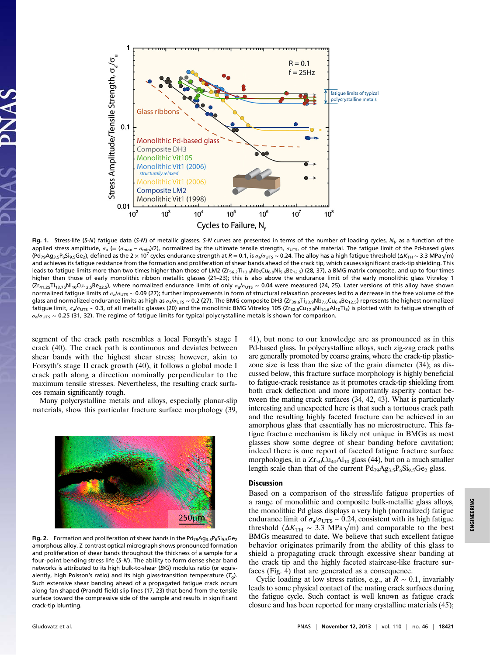

Fig. 1. Stress-life (S-N) fatigue data (S-N) of metallic glasses. S-N curves are presented in terms of the number of loading cycles, N<sub>f</sub>, as a function of the applied stress amplitude,  $\sigma_a$  (= ( $\sigma_{\text{max}} - \sigma_{\text{min}}$ )/2), normalized by the ultimate tensile strength,  $\sigma_{\text{UTS}}$ , of the material. The fatigue limit of the Pd-based glass (Pd<sub>79</sub>Ag<sub>3.5</sub>P<sub>6</sub>Si<sub>9.5</sub>Ge<sub>2</sub>), defined as the 2 × 10<sup>7</sup> cycles endurance strength at R = 0.1, is  $\sigma_a/\sigma_{UTS}$  ~ 0.24. The alloy has a high fatigue threshold (ΔK<sub>TH</sub> ~ 3.3 MPa√m) and achieves its fatigue resistance from the formation and proliferation of shear bands ahead of the crack tip, which causes significant crack-tip shielding. This leads to fatigue limits more than two times higher than those of LM2 (Zr<sub>56.2</sub>Ti<sub>13.8</sub>Nb<sub>5</sub>Cu<sub>6.9</sub>Ni<sub>5.6</sub>Be<sub>12.5</sub>) (28, 37), a BMG matrix composite, and up to four times higher than those of early monolithic ribbon metallic glasses (21–23); this is also above the endurance limit of the early monolithic glass Vitreloy 1 (Zr<sub>41.25</sub>Ti<sub>13.75</sub>Ni<sub>10</sub>Cu<sub>12.5</sub>Be<sub>22.5</sub>), where normalized endurance limits of only  $\sigma_a/\sigma_{UTS} \sim 0.04$  were measured (24, 25). Later versions of this alloy have shown normalized fatigue limits of σ<sub>a</sub>/σ<sub>UTS</sub> ~ 0.09 (27); further improvements in form of structural relaxation processes led to a decrease in the free volume of the glass and normalized endurance limits as high as σ<sub>a</sub>/σ<sub>UTS</sub> ~ 0.2 (27). The BMG composite DH3 (Zr<sub>39.6</sub>Ti<sub>33.9</sub>Nb<sub>7.6</sub>Cu<sub>6.4</sub>Be<sub>12.5</sub>) represents the highest normalized  $\overline{f}$ atigue limit,  $\sigma_a/\sigma_{\text{UTS}}$  ~ 0.3, of all metallic glasses (20) and the monolithic BMG Vitreloy 105 (Zr<sub>52.5</sub>Cu<sub>17.9</sub>Ni<sub>14.6</sub>Al<sub>10</sub>Ti<sub>5</sub>) is plotted with its fatigue strength of  $\sigma_a/\sigma_{UTS} \sim 0.25$  (31, 32). The regime of fatigue limits for typical polycrystalline metals is shown for comparison.

segment of the crack path resembles a local Forsyth's stage I crack (40). The crack path is continuous and deviates between shear bands with the highest shear stress; however, akin to Forsyth's stage II crack growth (40), it follows a global mode I crack path along a direction nominally perpendicular to the maximum tensile stresses. Nevertheless, the resulting crack surfaces remain significantly rough.

Many polycrystalline metals and alloys, especially planar-slip materials, show this particular fracture surface morphology (39,



Fig. 2. Formation and proliferation of shear bands in the  $Pd_{79}Ag_{3.5}P_6Si_{9.5}Ge_2$ amorphous alloy. Z-contrast optical micrograph shows pronounced formation and proliferation of shear bands throughout the thickness of a sample for a four-point bending stress life (S-N). The ability to form dense shear band networks is attributed to its high bulk-to-shear (B/G) modulus ratio (or equivalently, high Poisson's ratio) and its high glass-transition temperature  $(T_q)$ . Such extensive shear banding ahead of a propagated fatigue crack occurs along fan-shaped (Prandtl-field) slip lines (17, 23) that bend from the tensile surface toward the compressive side of the sample and results in significant crack-tip blunting.

41), but none to our knowledge are as pronounced as in this Pd-based glass. In polycrystalline alloys, such zig-zag crack paths are generally promoted by coarse grains, where the crack-tip plasticzone size is less than the size of the grain diameter (34); as discussed below, this fracture surface morphology is highly beneficial to fatigue-crack resistance as it promotes crack-tip shielding from both crack deflection and more importantly asperity contact between the mating crack surfaces (34, 42, 43). What is particularly interesting and unexpected here is that such a tortuous crack path and the resulting highly faceted fracture can be achieved in an amorphous glass that essentially has no microstructure. This fatigue fracture mechanism is likely not unique in BMGs as most glasses show some degree of shear banding before cavitation; indeed there is one report of faceted fatigue fracture surface morphologies, in a  $Zr_{50}Cu_{40}Al_{10}$  glass (44), but on a much smaller length scale than that of the current  $Pd_{79}Ag_{3.5}P_6Si_{9.5}Ge_2$  glass.

#### Discussion

Based on a comparison of the stress/life fatigue properties of a range of monolithic and composite bulk-metallic glass alloys, the monolithic Pd glass displays a very high (normalized) fatigue endurance limit of  $\sigma_{\rm a}/\sigma_{\rm UTS} \sim 0.24$ , consistent with its high fatigue threshold ( $\Delta K_{\text{TH}} \sim 3.3 \text{ MPa}\sqrt{\text{m}}$ ) and comparable to the best BMGs measured to date. We believe that such excellent fatigue behavior originates primarily from the ability of this glass to shield a propagating crack through excessive shear banding at the crack tip and the highly faceted staircase-like fracture surfaces (Fig. 4) that are generated as a consequence.

Cyclic loading at low stress ratios, e.g., at  $R \sim 0.1$ , invariably leads to some physical contact of the mating crack surfaces during the fatigue cycle. Such contact is well known as fatigue crack closure and has been reported for many crystalline materials (45);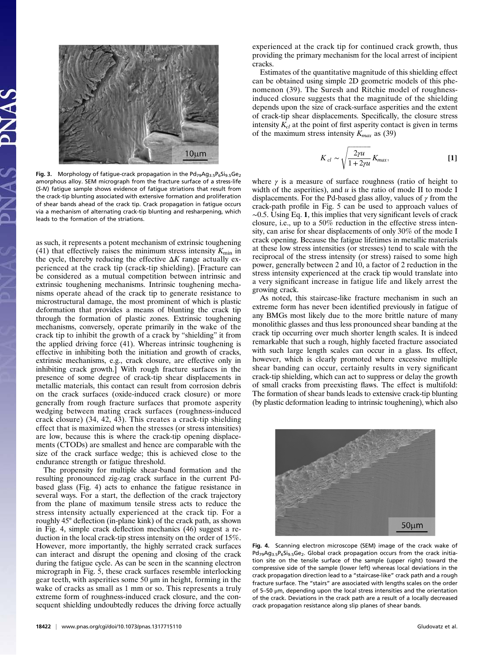

Fig. 3. Morphology of fatigue-crack propagation in the  $Pd_{79}Ag_{3.5}P_6Si_{9.5}Ge_2$ amorphous alloy. SEM micrograph from the fracture surface of a stress-life (S-N) fatigue sample shows evidence of fatigue striations that result from the crack-tip blunting associated with extensive formation and proliferation of shear bands ahead of the crack tip. Crack propagation in fatigue occurs via a mechanism of alternating crack-tip blunting and resharpening, which leads to the formation of the striations.

as such, it represents a potent mechanism of extrinsic toughening (41) that effectively raises the minimum stress intensity  $K_{\text{min}}$  in the cycle, thereby reducing the effective  $\Delta K$  range actually experienced at the crack tip (crack-tip shielding). [Fracture can be considered as a mutual competition between intrinsic and extrinsic toughening mechanisms. Intrinsic toughening mechanisms operate ahead of the crack tip to generate resistance to microstructural damage, the most prominent of which is plastic deformation that provides a means of blunting the crack tip through the formation of plastic zones. Extrinsic toughening mechanisms, conversely, operate primarily in the wake of the crack tip to inhibit the growth of a crack by "shielding" it from the applied driving force (41). Whereas intrinsic toughening is effective in inhibiting both the initiation and growth of cracks, extrinsic mechanisms, e.g., crack closure, are effective only in inhibiting crack growth.] With rough fracture surfaces in the presence of some degree of crack-tip shear displacements in metallic materials, this contact can result from corrosion debris on the crack surfaces (oxide-induced crack closure) or more generally from rough fracture surfaces that promote asperity wedging between mating crack surfaces (roughness-induced crack closure) (34, 42, 43). This creates a crack-tip shielding effect that is maximized when the stresses (or stress intensities) are low, because this is where the crack-tip opening displacements (CTODs) are smallest and hence are comparable with the size of the crack surface wedge; this is achieved close to the endurance strength or fatigue threshold.

The propensity for multiple shear-band formation and the resulting pronounced zig-zag crack surface in the current Pdbased glass (Fig. 4) acts to enhance the fatigue resistance in several ways. For a start, the deflection of the crack trajectory from the plane of maximum tensile stress acts to reduce the stress intensity actually experienced at the crack tip. For a roughly 45° deflection (in-plane kink) of the crack path, as shown in Fig. 4, simple crack deflection mechanics (46) suggest a reduction in the local crack-tip stress intensity on the order of 15%. However, more importantly, the highly serrated crack surfaces can interact and disrupt the opening and closing of the crack during the fatigue cycle. As can be seen in the scanning electron micrograph in Fig. 5, these crack surfaces resemble interlocking gear teeth, with asperities some 50 μm in height, forming in the wake of cracks as small as 1 mm or so. This represents a truly extreme form of roughness-induced crack closure, and the consequent shielding undoubtedly reduces the driving force actually

experienced at the crack tip for continued crack growth, thus providing the primary mechanism for the local arrest of incipient cracks.

Estimates of the quantitative magnitude of this shielding effect can be obtained using simple 2D geometric models of this phenomenon (39). The Suresh and Ritchie model of roughnessinduced closure suggests that the magnitude of the shielding depends upon the size of crack-surface asperities and the extent of crack-tip shear displacements. Specifically, the closure stress intensity  $K_{cl}$  at the point of first asperity contact is given in terms of the maximum stress intensity  $K_{max}$  as (39)

$$
K_{cl} \sim \sqrt{\frac{2\gamma u}{1 + 2\gamma u}} K_{max},
$$
 [1]

where  $\gamma$  is a measure of surface roughness (ratio of height to width of the asperities), and  $u$  is the ratio of mode II to mode I displacements. For the Pd-based glass alloy, values of  $\gamma$  from the crack-path profile in Fig. 5 can be used to approach values of ∼0.5. Using Eq. 1, this implies that very significant levels of crack closure, i.e., up to a 50% reduction in the effective stress intensity, can arise for shear displacements of only 30% of the mode I crack opening. Because the fatigue lifetimes in metallic materials at these low stress intensities (or stresses) tend to scale with the reciprocal of the stress intensity (or stress) raised to some high power, generally between 2 and 10, a factor of 2 reduction in the stress intensity experienced at the crack tip would translate into a very significant increase in fatigue life and likely arrest the growing crack.

As noted, this staircase-like fracture mechanism in such an extreme form has never been identified previously in fatigue of any BMGs most likely due to the more brittle nature of many monolithic glasses and thus less pronounced shear banding at the crack tip occurring over much shorter length scales. It is indeed remarkable that such a rough, highly faceted fracture associated with such large length scales can occur in a glass. Its effect, however, which is clearly promoted where excessive multiple shear banding can occur, certainly results in very significant crack-tip shielding, which can act to suppress or delay the growth of small cracks from preexisting flaws. The effect is multifold: The formation of shear bands leads to extensive crack-tip blunting (by plastic deformation leading to intrinsic toughening), which also



Fig. 4. Scanning electron microscope (SEM) image of the crack wake of  $Pd_{79}Ag_{3.5}P_6Si_{9.5}Ge_2$ . Global crack propagation occurs from the crack initiation site on the tensile surface of the sample (upper right) toward the compressive side of the sample (lower left) whereas local deviations in the crack propagation direction lead to a "staircase-like" crack path and a rough fracture surface. The "stairs" are associated with lengths scales on the order of 5–50 μm, depending upon the local stress intensities and the orientation of the crack. Deviations in the crack path are a result of a locally decreased crack propagation resistance along slip planes of shear bands.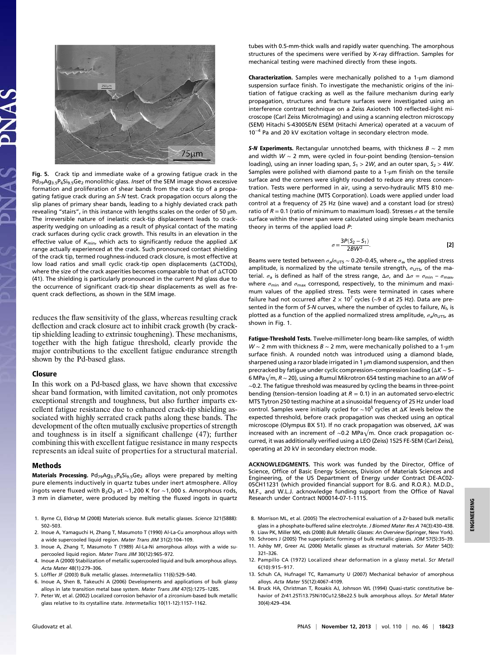

Fig. 5. Crack tip and immediate wake of a growing fatigue crack in the  $Pd_{79}Ag_{3.5}P_6Si_{9.5}Ge_2$  monolithic glass. Inset of the SEM image shows excessive formation and proliferation of shear bands from the crack tip of a propagating fatigue crack during an S-N test. Crack propagation occurs along the slip planes of primary shear bands, leading to a highly deviated crack path revealing "stairs", in this instance with lengths scales on the order of 50  $\mu$ m. The irreversible nature of inelastic crack-tip displacement leads to crackasperity wedging on unloading as a result of physical contact of the mating crack surfaces during cyclic crack growth. This results in an elevation in the effective value of  $K_{\text{min}}$ , which acts to significantly reduce the applied  $\Delta K$ range actually experienced at the crack. Such pronounced contact shielding of the crack tip, termed roughness-induced crack closure, is most effective at low load ratios and small cyclic crack-tip open displacements (ΔCTODs), where the size of the crack asperities becomes comparable to that of ΔCTOD (41). The shielding is particularly pronounced in the current Pd glass due to the occurrence of significant crack-tip shear displacements as well as frequent crack deflections, as shown in the SEM image.

reduces the flaw sensitivity of the glass, whereas resulting crack deflection and crack closure act to inhibit crack growth (by cracktip shielding leading to extrinsic toughening). These mechanisms, together with the high fatigue threshold, clearly provide the major contributions to the excellent fatigue endurance strength shown by the Pd-based glass.

## Closure

In this work on a Pd-based glass, we have shown that excessive shear band formation, with limited cavitation, not only promotes exceptional strength and toughness, but also further imparts excellent fatigue resistance due to enhanced crack-tip shielding associated with highly serrated crack paths along these bands. The development of the often mutually exclusive properties of strength and toughness is in itself a significant challenge (47); further combining this with excellent fatigue resistance in many respects represents an ideal suite of properties for a structural material.

#### Methods

Materials Processing.  $Pd_{79}Ag_{3,5}P_6Si_{9,5}Ge_2$  alloys were prepared by melting pure elements inductively in quartz tubes under inert atmosphere. Alloy ingots were fluxed with B<sub>2</sub>O<sub>3</sub> at ~1,200 K for ~1,000 s. Amorphous rods, 3 mm in diameter, were produced by melting the fluxed ingots in quartz

- 1. Byrne CJ, Eldrup M (2008) Materials science. Bulk metallic glasses. Science 321(5888): 502–503.
- 2. Inoue A, Yamaguchi H, Zhang T, Masumoto T (1990) Al-La-Cu amorphous alloys with a wide supercooled liquid region. Mater Trans JIM 31(2):104–109.
- 3. Inoue A, Zhang T, Masumoto T (1989) Al-La-Ni amorphous alloys with a wide supercooled liquid region. Mater Trans JIM 30(12):965–972.
- 4. Inoue A (2000) Stabilization of metallic supercooled liquid and bulk amorphous alloys. Acta Mater 48(1):279–306.
- 5. Löffler JF (2003) Bulk metallic glasses. Intermetallics 11(6):529–540.
- 6. Inoue A, Shen B, Takeuchi A (2006) Developments and applications of bulk glassy alloys in late transition metal base system. Mater Trans JIM 47(5):1275-1285.
- 7. Peter W, et al. (2002) Localized corrosion behavior of a zirconium-based bulk metallic glass relative to its crystalline state. Intermetallics 10(11-12):1157–1162.

tubes with 0.5-mm-thick walls and rapidly water quenching. The amorphous structures of the specimens were verified by X-ray diffraction. Samples for mechanical testing were machined directly from these ingots.

Characterization. Samples were mechanically polished to a 1-μm diamond suspension surface finish. To investigate the mechanistic origins of the initiation of fatigue cracking as well as the failure mechanism during early propagation, structures and fracture surfaces were investigated using an interference contrast technique on a Zeiss Axiotech 100 reflected-light microscope (Carl Zeiss MicroImaging) and using a scanning electron microscopy (SEM) Hitachi S-4300SE/N ESEM (Hitachi America) operated at a vacuum of 10−<sup>4</sup> Pa and 20 kV excitation voltage in secondary electron mode.

S-N Experiments. Rectangular unnotched beams, with thickness  $B \sim 2$  mm and width W ∼ 2 mm, were cycled in four-point bending (tension–tension loading), using an inner loading span,  $S_1 > 2W$ , and an outer span,  $S_2 > 4W$ . Samples were polished with diamond paste to a 1-μm finish on the tensile surface and the corners were slightly rounded to reduce any stress concentration. Tests were performed in air, using a servo-hydraulic MTS 810 mechanical testing machine (MTS Corporation). Loads were applied under load control at a frequency of 25 Hz (sine wave) and a constant load (or stress) ratio of  $R = 0.1$  (ratio of minimum to maximum load). Stresses  $\sigma$  at the tensile surface within the inner span were calculated using simple beam mechanics theory in terms of the applied load P:

$$
\sigma = \frac{3P(S_2 - S_1)}{2BW^2}.
$$
 [2]

Beams were tested between  $\sigma_{\mathsf{a}}/\sigma_{\mathsf{UTS}}\sim$  0.20–0.45, where  $\sigma_{\mathsf{a}}$ , the applied stress amplitude, is normalized by the ultimate tensile strength,  $\sigma$ <sub>UTS</sub>, of the material.  $\sigma_a$  is defined as half of the stress range,  $\Delta\sigma$ , and  $\Delta\sigma = \sigma_{\min} - \sigma_{\max}$ , where  $\sigma_{\min}$  and  $\sigma_{\max}$  correspond, respectively, to the minimum and maximum values of the applied stress. Tests were terminated in cases where failure had not occurred after 2 × 10<sup>7</sup> cycles (~9 d at 25 Hz). Data are presented in the form of S-N curves, where the number of cycles to failure,  $N_{\text{f}}$ , is plotted as a function of the applied normalized stress amplitude,  $\sigma_{a}/\sigma_{\text{UTS}}$ , as shown in Fig. 1.

Fatigue-Threshold Tests. Twelve-millimeter-long beam-like samples, of width W ~ 2 mm with thickness  $B \sim 2$  mm, were mechanically polished to a 1-µm surface finish. A rounded notch was introduced using a diamond blade, sharpened using a razor blade irrigated in 1 μm diamond suspension, and then precracked by fatigue under cyclic compression–compression loading (ΔK ∼ 5– 6 MPa√m, R ∼ 20), using a Rumul Mikrotron 654 testing machine to an a/W of ∼0.2. The fatigue threshold was measured by cycling the beams in three-point bending (tension–tension loading at  $R = 0.1$ ) in an automated servo-electric MTS Tytron 250 testing machine at a sinusoidal frequency of 25 Hz under load control. Samples were initially cycled for  $~\sim 10^5$  cycles at  $\Delta K$  levels below the expected threshold, before crack propagation was checked using an optical microscope (Olympus BX 51). If no crack propagation was observed, ΔK was increased with an increment of ∼0.2 MPa√m. Once crack propagation occurred, it was additionally verified using a LEO (Zeiss) 1525 FE-SEM (Carl Zeiss), operating at 20 kV in secondary electron mode.

ACKNOWLEDGMENTS. This work was funded by the Director, Office of Science, Office of Basic Energy Sciences, Division of Materials Sciences and Engineering, of the US Department of Energy under Contract DE-AC02- 05CH11231 (which provided financial support for B.G. and R.O.R.). M.D.D., M.F., and W.L.J. acknowledge funding support from the Office of Naval Research under Contract N00014-07-1-1115.

- 8. Morrison ML, et al. (2005) The electrochemical evaluation of a Zr-based bulk metallic glass in a phosphate-buffered saline electrolyte. J Biomed Mater Res A 74(3):430-438.
- 9. Liaw PK, Miller MK, eds (2008) Bulk Metallic Glasses: An Overview (Springer, New York).
- 10. Schroers J (2005) The superplastic forming of bulk metallic glasses. JOM 57(5):35–39.
- 11. Ashby MF, Greer AL (2006) Metallic glasses as structural materials. Scr Mater 54(3): 321–326.
- 12. Pampillo CA (1972) Localized shear deformation in a glassy metal. Scr Metall 6(10):915–917.
- 13. Schuh CA, Hufnagel TC, Ramamurty U (2007) Mechanical behavior of amorphous alloys. Acta Mater 55(12):4067–4109.
- 14. Bruck HA, Christman T, Rosakis AJ, Johnson WL (1994) Quasi-static constitutive behavior of Zr41.25Ti13.75Ni10Cu12.5Be22.5 bulk amorphous alloys. Scr Metall Mater 30(4):429–434.